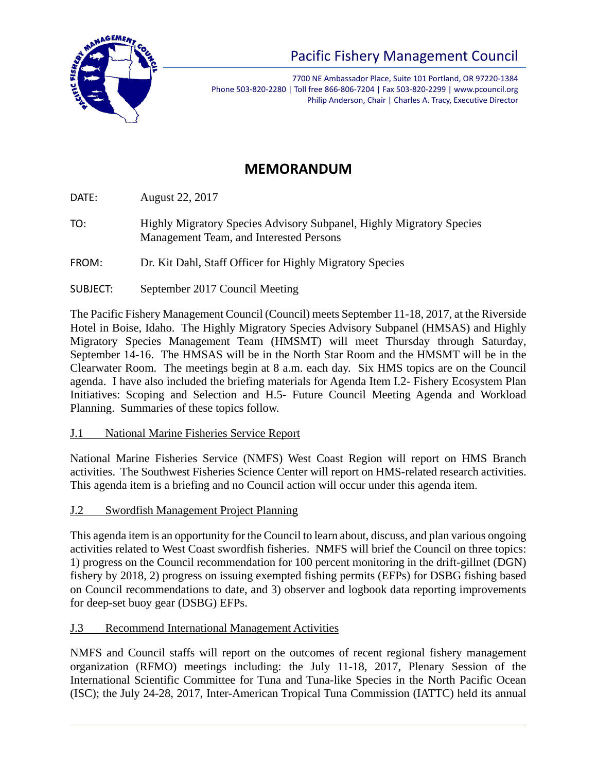

# Pacific Fishery Management Council

7700 NE Ambassador Place, Suite 101 Portland, OR 97220-1384 Phone 503-820-2280 | Toll free 866-806-7204 | Fax 503-820-2299 | www.pcouncil.org Philip Anderson, Chair | Charles A. Tracy, Executive Director

# **MEMORANDUM**

DATE: August 22, 2017

TO: Highly Migratory Species Advisory Subpanel, Highly Migratory Species Management Team, and Interested Persons

FROM: Dr. Kit Dahl, Staff Officer for Highly Migratory Species

SUBJECT: September 2017 Council Meeting

The Pacific Fishery Management Council (Council) meets September 11-18, 2017, at the Riverside Hotel in Boise, Idaho. The Highly Migratory Species Advisory Subpanel (HMSAS) and Highly Migratory Species Management Team (HMSMT) will meet Thursday through Saturday, September 14-16. The HMSAS will be in the North Star Room and the HMSMT will be in the Clearwater Room. The meetings begin at 8 a.m. each day. Six HMS topics are on the Council agenda. I have also included the briefing materials for Agenda Item I.2- Fishery Ecosystem Plan Initiatives: Scoping and Selection and H.5- Future Council Meeting Agenda and Workload Planning. Summaries of these topics follow.

# J.1 National Marine Fisheries Service Report

National Marine Fisheries Service (NMFS) West Coast Region will report on HMS Branch activities. The Southwest Fisheries Science Center will report on HMS-related research activities. This agenda item is a briefing and no Council action will occur under this agenda item.

J.2 Swordfish Management Project Planning

This agenda item is an opportunity for the Council to learn about, discuss, and plan various ongoing activities related to West Coast swordfish fisheries. NMFS will brief the Council on three topics: 1) progress on the Council recommendation for 100 percent monitoring in the drift-gillnet (DGN) fishery by 2018, 2) progress on issuing exempted fishing permits (EFPs) for DSBG fishing based on Council recommendations to date, and 3) observer and logbook data reporting improvements for deep-set buoy gear (DSBG) EFPs.

# J.3 Recommend International Management Activities

NMFS and Council staffs will report on the outcomes of recent regional fishery management organization (RFMO) meetings including: the July 11-18, 2017, Plenary Session of the International Scientific Committee for Tuna and Tuna-like Species in the North Pacific Ocean (ISC); the July 24-28, 2017, Inter-American Tropical Tuna Commission (IATTC) held its annual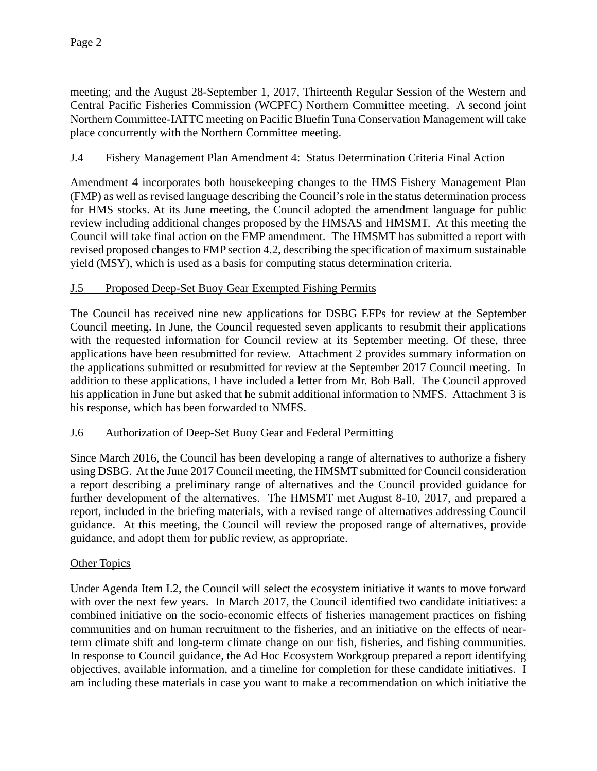meeting; and the August 28-September 1, 2017, Thirteenth Regular Session of the Western and Central Pacific Fisheries Commission (WCPFC) Northern Committee meeting. A second joint Northern Committee-IATTC meeting on Pacific Bluefin Tuna Conservation Management will take place concurrently with the Northern Committee meeting.

# J.4 Fishery Management Plan Amendment 4: Status Determination Criteria Final Action

Amendment 4 incorporates both housekeeping changes to the HMS Fishery Management Plan (FMP) as well as revised language describing the Council's role in the status determination process for HMS stocks. At its June meeting, the Council adopted the amendment language for public review including additional changes proposed by the HMSAS and HMSMT. At this meeting the Council will take final action on the FMP amendment. The HMSMT has submitted a report with revised proposed changes to FMP section 4.2, describing the specification of maximum sustainable yield (MSY), which is used as a basis for computing status determination criteria.

# J.5 Proposed Deep-Set Buoy Gear Exempted Fishing Permits

The Council has received nine new applications for DSBG EFPs for review at the September Council meeting. In June, the Council requested seven applicants to resubmit their applications with the requested information for Council review at its September meeting. Of these, three applications have been resubmitted for review. Attachment 2 provides summary information on the applications submitted or resubmitted for review at the September 2017 Council meeting. In addition to these applications, I have included a letter from Mr. Bob Ball. The Council approved his application in June but asked that he submit additional information to NMFS. Attachment 3 is his response, which has been forwarded to NMFS.

# J.6 Authorization of Deep-Set Buoy Gear and Federal Permitting

Since March 2016, the Council has been developing a range of alternatives to authorize a fishery using DSBG. At the June 2017 Council meeting, the HMSMT submitted for Council consideration a report describing a preliminary range of alternatives and the Council provided guidance for further development of the alternatives. The HMSMT met August 8-10, 2017, and prepared a report, included in the briefing materials, with a revised range of alternatives addressing Council guidance. At this meeting, the Council will review the proposed range of alternatives, provide guidance, and adopt them for public review, as appropriate.

# Other Topics

Under Agenda Item I.2, the Council will select the ecosystem initiative it wants to move forward with over the next few years. In March 2017, the Council identified two candidate initiatives: a combined initiative on the socio-economic effects of fisheries management practices on fishing communities and on human recruitment to the fisheries, and an initiative on the effects of nearterm climate shift and long-term climate change on our fish, fisheries, and fishing communities. In response to Council guidance, the Ad Hoc Ecosystem Workgroup prepared a report identifying objectives, available information, and a timeline for completion for these candidate initiatives. I am including these materials in case you want to make a recommendation on which initiative the